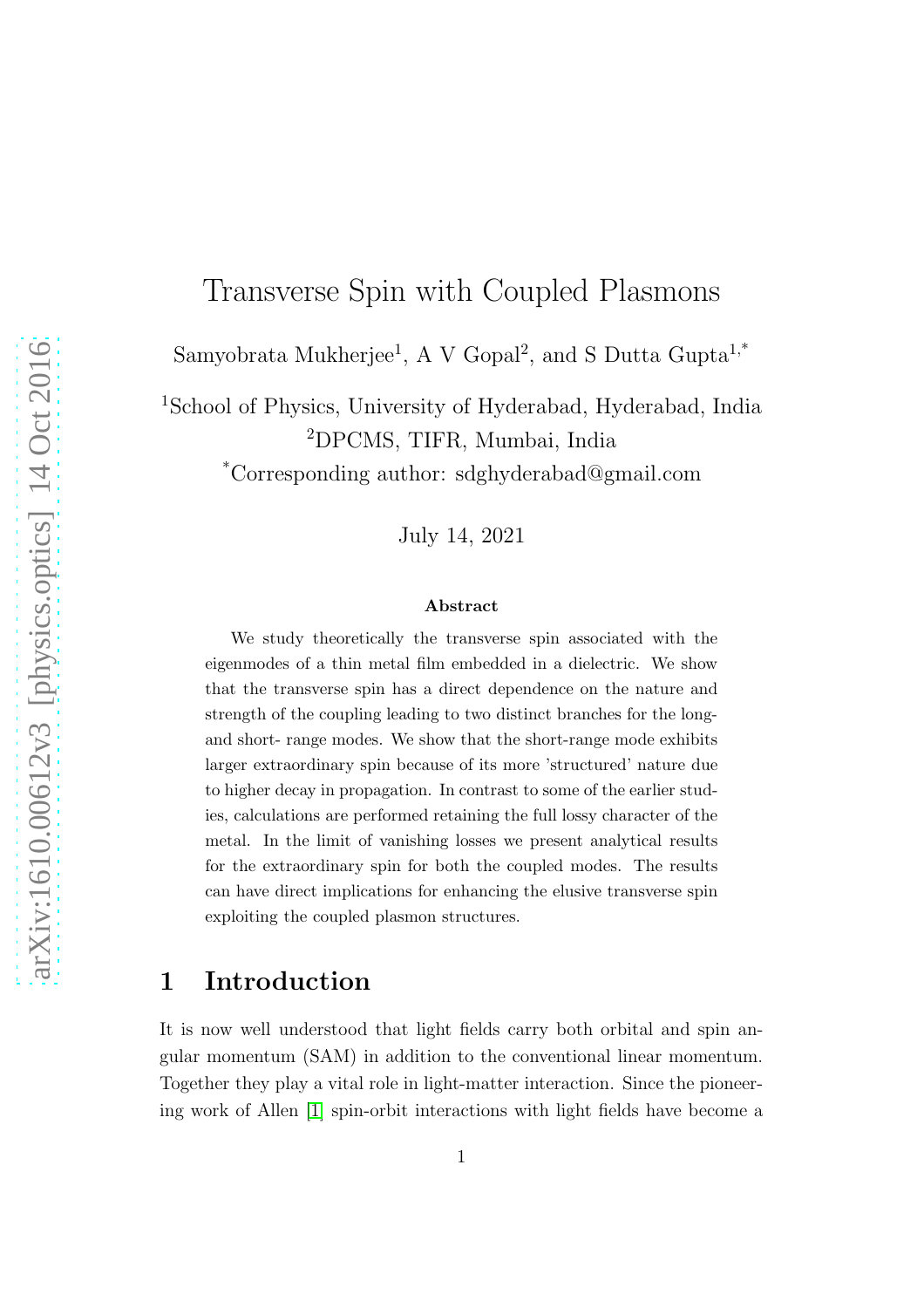# Transverse Spin with Coupled Plasmons

Samyobrata Mukherjee<sup>1</sup>, A V Gopal<sup>2</sup>, and S Dutta Gupta<sup>1,\*</sup>

<sup>1</sup>School of Physics, University of Hyderabad, Hyderabad, India <sup>2</sup>DPCMS, TIFR, Mumbai, India

\*Corresponding author: sdghyderabad@gmail.com

July 14, 2021

#### Abstract

We study theoretically the transverse spin associated with the eigenmodes of a thin metal film embedded in a dielectric. We show that the transverse spin has a direct dependence on the nature and strength of the coupling leading to two distinct branches for the longand short- range modes. We show that the short-range mode exhibits larger extraordinary spin because of its more 'structured' nature due to higher decay in propagation. In contrast to some of the earlier studies, calculations are performed retaining the full lossy character of the metal. In the limit of vanishing losses we present analytical results for the extraordinary spin for both the coupled modes. The results can have direct implications for enhancing the elusive transverse spin exploiting the coupled plasmon structures.

#### 1 Introduction

It is now well understood that light fields carry both orbital and spin angular momentum (SAM) in addition to the conventional linear momentum. Together they play a vital role in light-matter interaction. Since the pioneering work of Allen [\[1\]](#page-12-0) spin-orbit interactions with light fields have become a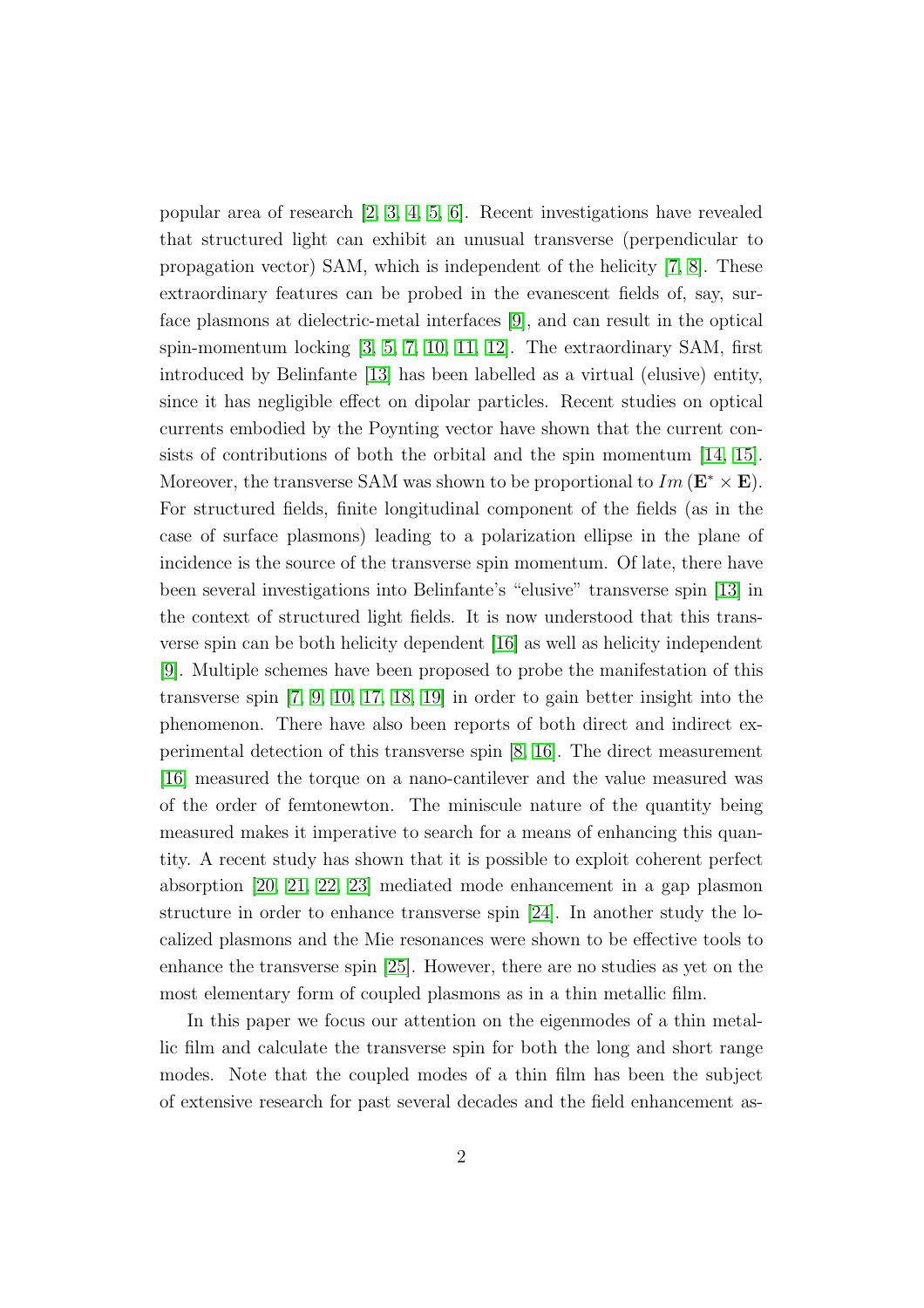popular area of research [\[2,](#page-12-1) [3,](#page-13-0) [4,](#page-13-1) [5,](#page-13-2) [6\]](#page-13-3). Recent investigations have revealed that structured light can exhibit an unusual transverse (perpendicular to propagation vector) SAM, which is independent of the helicity [\[7,](#page-13-4) [8\]](#page-13-5). These extraordinary features can be probed in the evanescent fields of, say, surface plasmons at dielectric-metal interfaces [\[9\]](#page-13-6), and can result in the optical spin-momentum locking [\[3,](#page-13-0) [5,](#page-13-2) [7,](#page-13-4) [10,](#page-13-7) [11,](#page-13-8) [12\]](#page-13-9). The extraordinary SAM, first introduced by Belinfante [\[13\]](#page-13-10) has been labelled as a virtual (elusive) entity, since it has negligible effect on dipolar particles. Recent studies on optical currents embodied by the Poynting vector have shown that the current consists of contributions of both the orbital and the spin momentum [\[14,](#page-13-11) [15\]](#page-13-12). Moreover, the transverse SAM was shown to be proportional to  $Im (\mathbf{E}^* \times \mathbf{E}).$ For structured fields, finite longitudinal component of the fields (as in the case of surface plasmons) leading to a polarization ellipse in the plane of incidence is the source of the transverse spin momentum. Of late, there have been several investigations into Belinfante's "elusive" transverse spin [\[13\]](#page-13-10) in the context of structured light fields. It is now understood that this transverse spin can be both helicity dependent [\[16\]](#page-13-13) as well as helicity independent [\[9\]](#page-13-6). Multiple schemes have been proposed to probe the manifestation of this transverse spin [\[7,](#page-13-4) [9,](#page-13-6) [10,](#page-13-7) [17,](#page-13-14) [18,](#page-13-15) [19\]](#page-13-16) in order to gain better insight into the phenomenon. There have also been reports of both direct and indirect experimental detection of this transverse spin [\[8,](#page-13-5) [16\]](#page-13-13). The direct measurement [\[16\]](#page-13-13) measured the torque on a nano-cantilever and the value measured was of the order of femtonewton. The miniscule nature of the quantity being measured makes it imperative to search for a means of enhancing this quantity. A recent study has shown that it is possible to exploit coherent perfect absorption [\[20,](#page-13-17) [21,](#page-14-0) [22,](#page-14-1) [23\]](#page-14-2) mediated mode enhancement in a gap plasmon structure in order to enhance transverse spin [\[24\]](#page-14-3). In another study the localized plasmons and the Mie resonances were shown to be effective tools to enhance the transverse spin [\[25\]](#page-14-4). However, there are no studies as yet on the most elementary form of coupled plasmons as in a thin metallic film.

In this paper we focus our attention on the eigenmodes of a thin metallic film and calculate the transverse spin for both the long and short range modes. Note that the coupled modes of a thin film has been the subject of extensive research for past several decades and the field enhancement as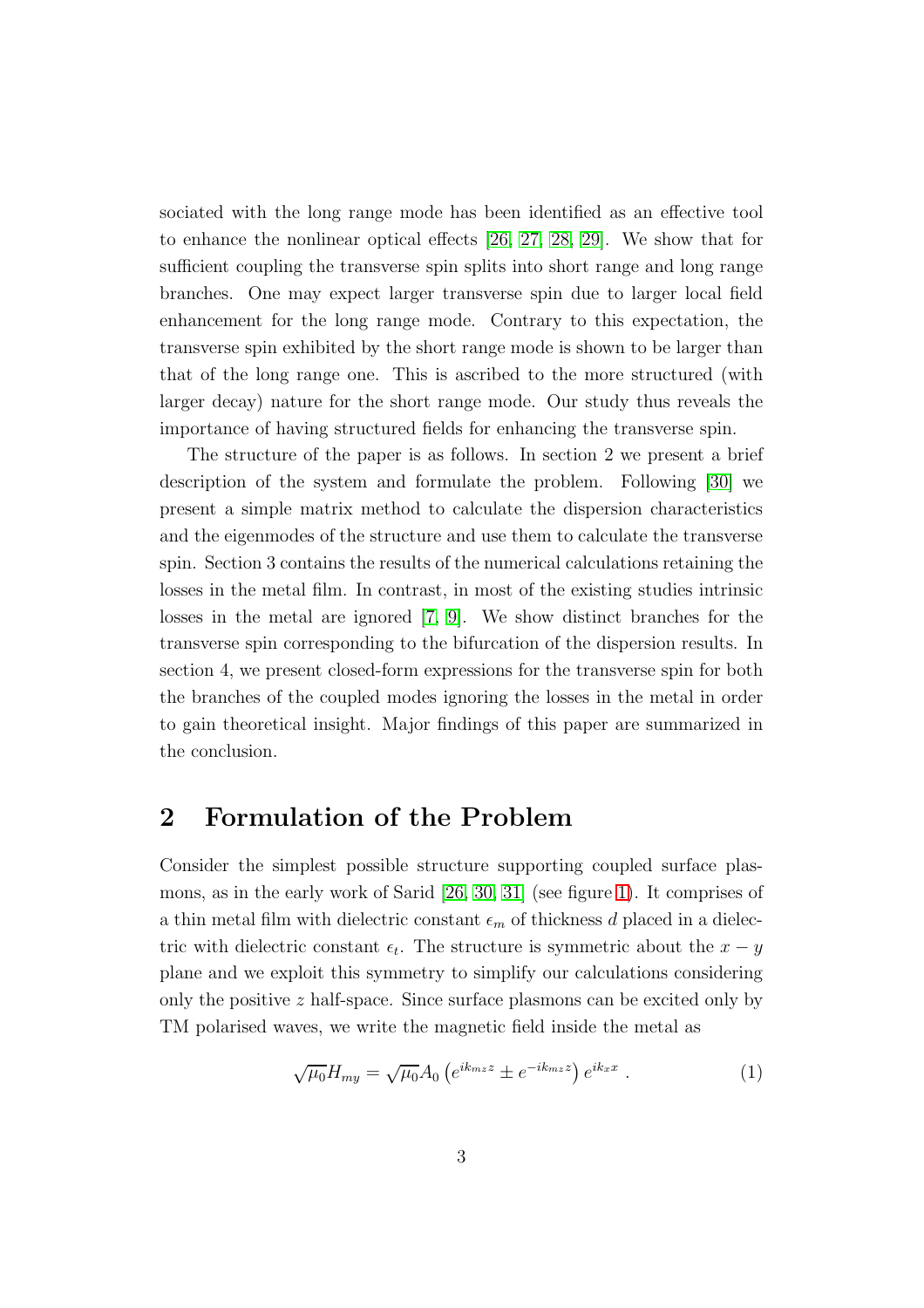sociated with the long range mode has been identified as an effective tool to enhance the nonlinear optical effects [\[26,](#page-14-5) [27,](#page-14-6) [28,](#page-14-7) [29\]](#page-14-8). We show that for sufficient coupling the transverse spin splits into short range and long range branches. One may expect larger transverse spin due to larger local field enhancement for the long range mode. Contrary to this expectation, the transverse spin exhibited by the short range mode is shown to be larger than that of the long range one. This is ascribed to the more structured (with larger decay) nature for the short range mode. Our study thus reveals the importance of having structured fields for enhancing the transverse spin.

The structure of the paper is as follows. In section 2 we present a brief description of the system and formulate the problem. Following [\[30\]](#page-14-9) we present a simple matrix method to calculate the dispersion characteristics and the eigenmodes of the structure and use them to calculate the transverse spin. Section 3 contains the results of the numerical calculations retaining the losses in the metal film. In contrast, in most of the existing studies intrinsic losses in the metal are ignored [\[7,](#page-13-4) [9\]](#page-13-6). We show distinct branches for the transverse spin corresponding to the bifurcation of the dispersion results. In section 4, we present closed-form expressions for the transverse spin for both the branches of the coupled modes ignoring the losses in the metal in order to gain theoretical insight. Major findings of this paper are summarized in the conclusion.

### 2 Formulation of the Problem

Consider the simplest possible structure supporting coupled surface plasmons, as in the early work of Sarid [\[26,](#page-14-5) [30,](#page-14-9) [31\]](#page-14-10) (see figure [1\)](#page-3-0). It comprises of a thin metal film with dielectric constant  $\epsilon_m$  of thickness d placed in a dielectric with dielectric constant  $\epsilon_t$ . The structure is symmetric about the  $x - y$ plane and we exploit this symmetry to simplify our calculations considering only the positive  $z$  half-space. Since surface plasmons can be excited only by TM polarised waves, we write the magnetic field inside the metal as

<span id="page-2-0"></span>
$$
\sqrt{\mu_0} H_{my} = \sqrt{\mu_0} A_0 \left( e^{ik_m z} \pm e^{-ik_m z} \right) e^{ik_x x} . \tag{1}
$$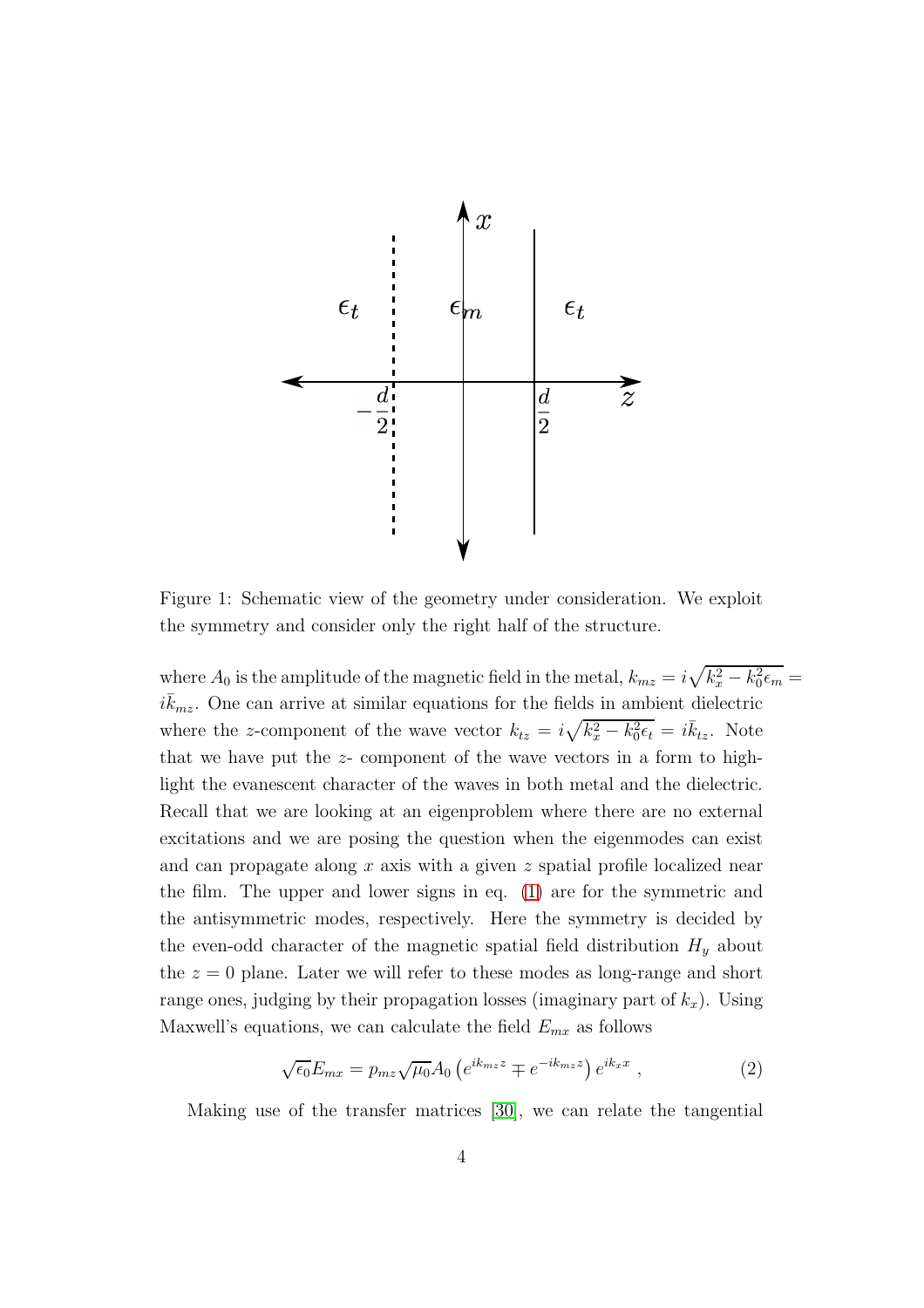

<span id="page-3-0"></span>Figure 1: Schematic view of the geometry under consideration. We exploit the symmetry and consider only the right half of the structure.

where  $A_0$  is the amplitude of the magnetic field in the metal,  $k_{mz} = i\sqrt{k_x^2 - k_0^2\epsilon_m} =$  $i\bar{k}_{mz}$ . One can arrive at similar equations for the fields in ambient dielectric where the z-component of the wave vector  $k_{tz} = i\sqrt{k_x^2 - k_0^2 \epsilon_t} = i\bar{k}_{tz}$ . Note that we have put the z- component of the wave vectors in a form to highlight the evanescent character of the waves in both metal and the dielectric. Recall that we are looking at an eigenproblem where there are no external excitations and we are posing the question when the eigenmodes can exist and can propagate along x axis with a given z spatial profile localized near the film. The upper and lower signs in eq. [\(1\)](#page-2-0) are for the symmetric and the antisymmetric modes, respectively. Here the symmetry is decided by the even-odd character of the magnetic spatial field distribution  $H_y$  about the  $z = 0$  plane. Later we will refer to these modes as long-range and short range ones, judging by their propagation losses (imaginary part of  $k_x$ ). Using Maxwell's equations, we can calculate the field  $E_{mx}$  as follows

$$
\sqrt{\epsilon_0} E_{mx} = p_{mz} \sqrt{\mu_0} A_0 \left( e^{ik_{mz}z} \mp e^{-ik_{mz}z} \right) e^{ik_x x} , \qquad (2)
$$

Making use of the transfer matrices [\[30\]](#page-14-9), we can relate the tangential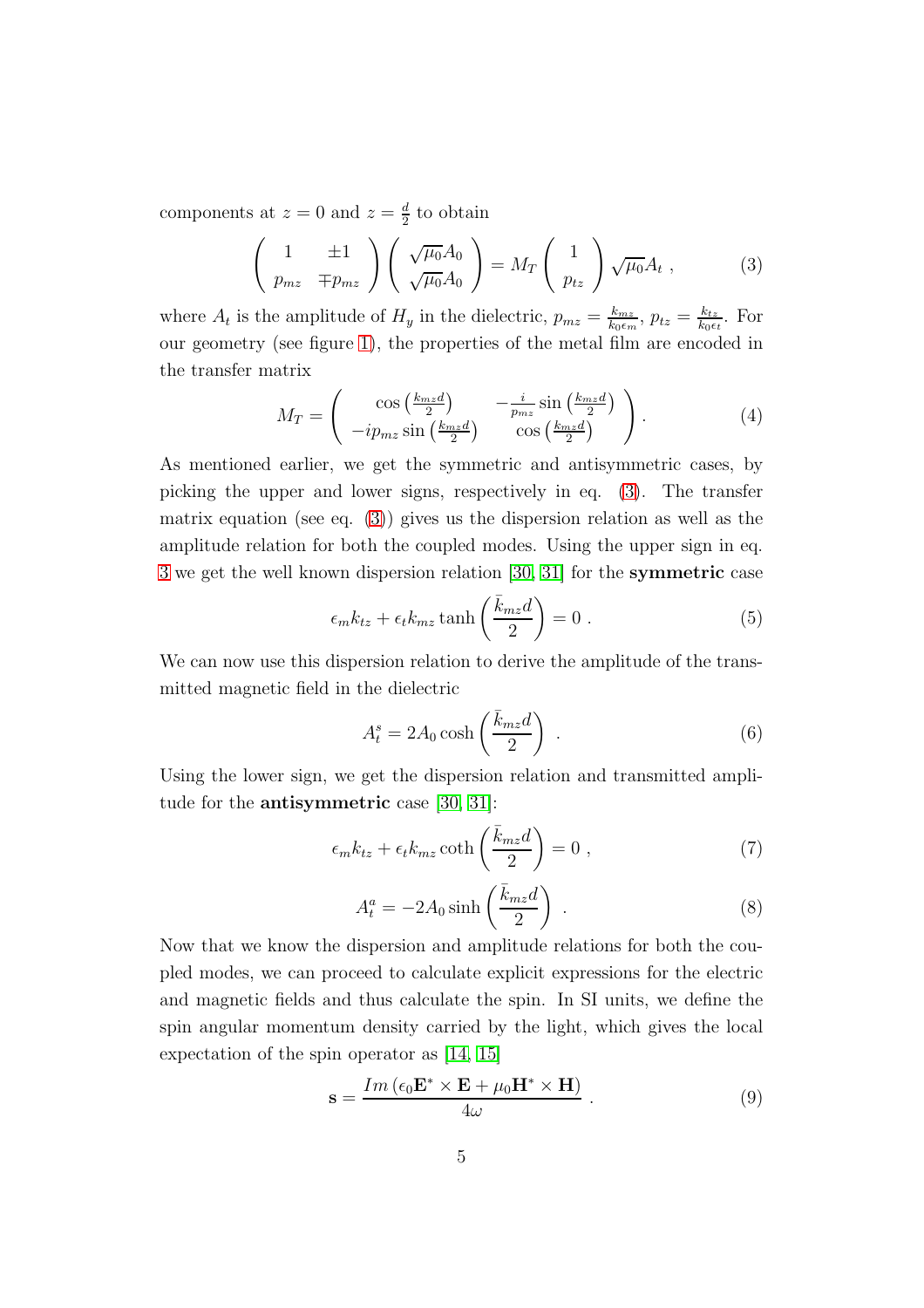components at  $z = 0$  and  $z = \frac{d}{2}$  to obtain

<span id="page-4-0"></span>
$$
\begin{pmatrix} 1 & \pm 1 \\ p_{mz} & \mp p_{mz} \end{pmatrix} \begin{pmatrix} \sqrt{\mu_0} A_0 \\ \sqrt{\mu_0} A_0 \end{pmatrix} = M_T \begin{pmatrix} 1 \\ p_{tz} \end{pmatrix} \sqrt{\mu_0} A_t , \qquad (3)
$$

where  $A_t$  is the amplitude of  $H_y$  in the dielectric,  $p_{mz} = \frac{k_{mz}}{k_0 \epsilon_m}$  $\frac{k_{mz}}{k_0\epsilon_m},\,p_{tz}=\frac{k_{tz}}{k_0\epsilon}$  $\frac{k_{tz}}{k_0\epsilon_t}$ . For our geometry (see figure [1\)](#page-3-0), the properties of the metal film are encoded in the transfer matrix

$$
M_T = \begin{pmatrix} \cos\left(\frac{k_{mz}d}{2}\right) & -\frac{i}{p_{mz}}\sin\left(\frac{k_{mz}d}{2}\right) \\ -ip_{mz}\sin\left(\frac{k_{mz}d}{2}\right) & \cos\left(\frac{k_{mz}d}{2}\right) \end{pmatrix} . \tag{4}
$$

As mentioned earlier, we get the symmetric and antisymmetric cases, by picking the upper and lower signs, respectively in eq. [\(3\)](#page-4-0). The transfer matrix equation (see eq. [\(3\)](#page-4-0)) gives us the dispersion relation as well as the amplitude relation for both the coupled modes. Using the upper sign in eq. [3](#page-4-0) we get the well known dispersion relation [\[30,](#page-14-9) [31\]](#page-14-10) for the symmetric case

$$
\epsilon_m k_{tz} + \epsilon_t k_{mz} \tanh\left(\frac{\bar{k}_{mz}d}{2}\right) = 0.
$$
 (5)

We can now use this dispersion relation to derive the amplitude of the transmitted magnetic field in the dielectric

$$
A_t^s = 2A_0 \cosh\left(\frac{\bar{k}_{mz}d}{2}\right) \tag{6}
$$

Using the lower sign, we get the dispersion relation and transmitted amplitude for the antisymmetric case [\[30,](#page-14-9) [31\]](#page-14-10):

$$
\epsilon_m k_{tz} + \epsilon_t k_{mz} \coth\left(\frac{\bar{k}_{mz}d}{2}\right) = 0 , \qquad (7)
$$

$$
A_t^a = -2A_0 \sinh\left(\frac{\bar{k}_{mz}d}{2}\right) \tag{8}
$$

Now that we know the dispersion and amplitude relations for both the coupled modes, we can proceed to calculate explicit expressions for the electric and magnetic fields and thus calculate the spin. In SI units, we define the spin angular momentum density carried by the light, which gives the local expectation of the spin operator as [\[14,](#page-13-11) [15\]](#page-13-12)

<span id="page-4-1"></span>
$$
\mathbf{s} = \frac{Im\left(\epsilon_0 \mathbf{E}^* \times \mathbf{E} + \mu_0 \mathbf{H}^* \times \mathbf{H}\right)}{4\omega} \,. \tag{9}
$$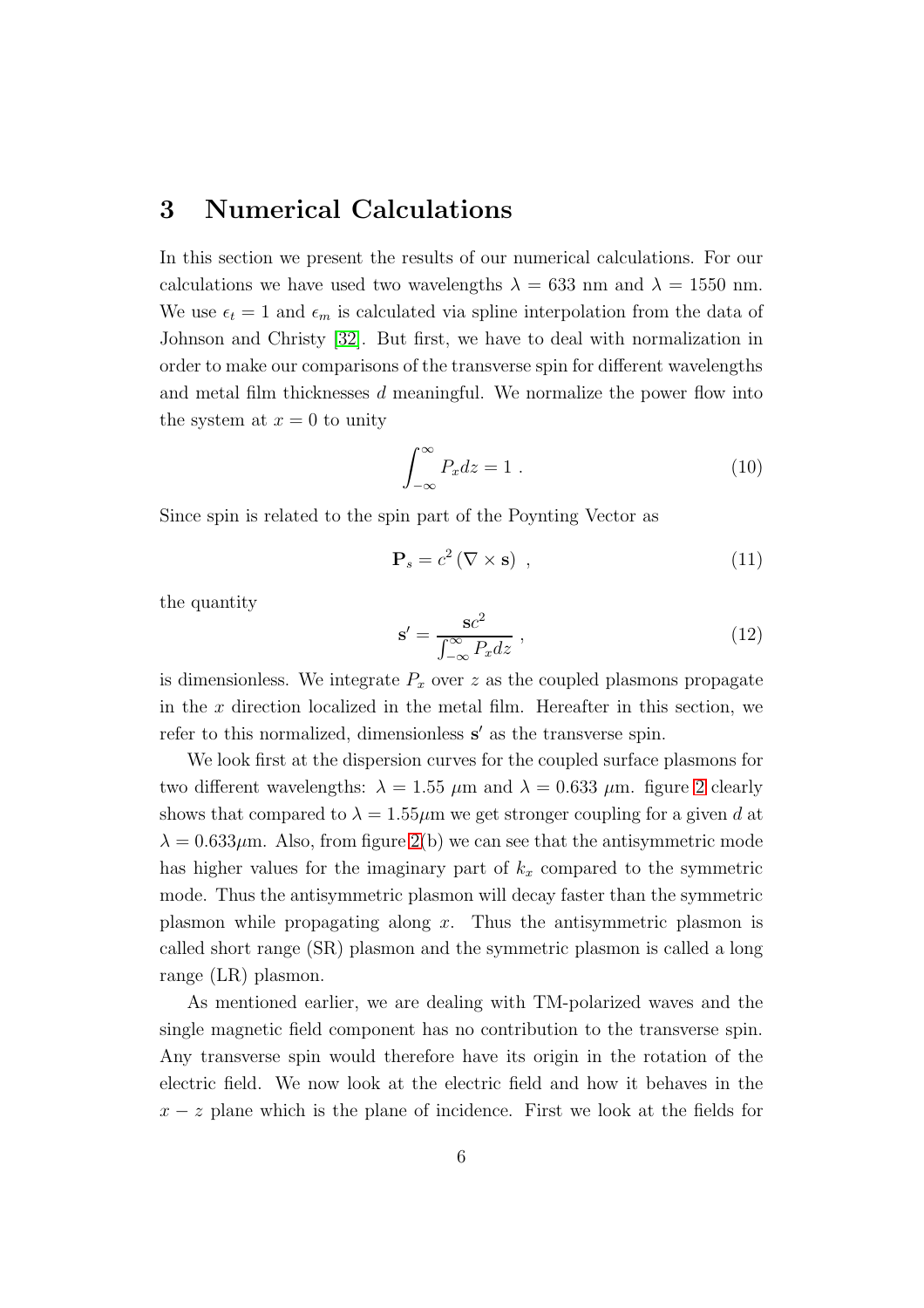#### 3 Numerical Calculations

In this section we present the results of our numerical calculations. For our calculations we have used two wavelengths  $\lambda = 633$  nm and  $\lambda = 1550$  nm. We use  $\epsilon_t = 1$  and  $\epsilon_m$  is calculated via spline interpolation from the data of Johnson and Christy [\[32\]](#page-14-11). But first, we have to deal with normalization in order to make our comparisons of the transverse spin for different wavelengths and metal film thicknesses d meaningful. We normalize the power flow into the system at  $x = 0$  to unity

$$
\int_{-\infty}^{\infty} P_x dz = 1.
$$
 (10)

Since spin is related to the spin part of the Poynting Vector as

<span id="page-5-0"></span>
$$
\mathbf{P}_s = c^2 \left( \nabla \times \mathbf{s} \right) , \qquad (11)
$$

the quantity

$$
\mathbf{s}' = \frac{\mathbf{s}c^2}{\int_{-\infty}^{\infty} P_x dz} \,,\tag{12}
$$

is dimensionless. We integrate  $P_x$  over z as the coupled plasmons propagate in the x direction localized in the metal film. Hereafter in this section, we refer to this normalized, dimensionless s' as the transverse spin.

We look first at the dispersion curves for the coupled surface plasmons for two different wavelengths:  $\lambda = 1.55 \mu m$  and  $\lambda = 0.633 \mu m$ . figure [2](#page-6-0) clearly shows that compared to  $\lambda = 1.55 \mu m$  we get stronger coupling for a given d at  $\lambda = 0.633 \mu$ m. Also, from figure [2\(](#page-6-0)b) we can see that the antisymmetric mode has higher values for the imaginary part of  $k_x$  compared to the symmetric mode. Thus the antisymmetric plasmon will decay faster than the symmetric plasmon while propagating along  $x$ . Thus the antisymmetric plasmon is called short range (SR) plasmon and the symmetric plasmon is called a long range (LR) plasmon.

As mentioned earlier, we are dealing with TM-polarized waves and the single magnetic field component has no contribution to the transverse spin. Any transverse spin would therefore have its origin in the rotation of the electric field. We now look at the electric field and how it behaves in the  $x - z$  plane which is the plane of incidence. First we look at the fields for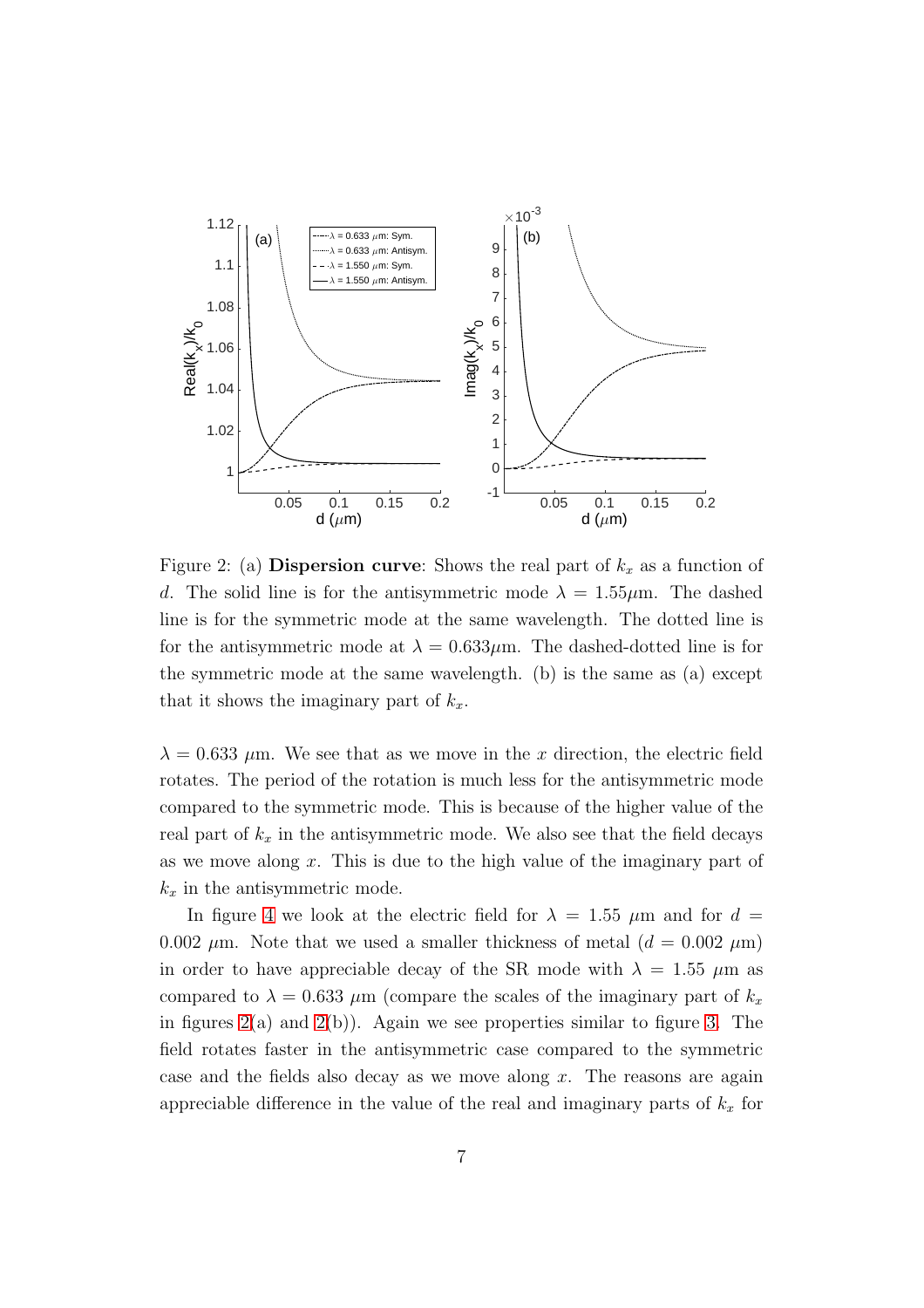

<span id="page-6-0"></span>Figure 2: (a) Dispersion curve: Shows the real part of  $k_x$  as a function of d. The solid line is for the antisymmetric mode  $\lambda = 1.55 \mu m$ . The dashed line is for the symmetric mode at the same wavelength. The dotted line is for the antisymmetric mode at  $\lambda = 0.633 \mu$ m. The dashed-dotted line is for the symmetric mode at the same wavelength. (b) is the same as  $(a)$  except that it shows the imaginary part of  $k_x$ .

 $\lambda = 0.633 \mu$ m. We see that as we move in the x direction, the electric field rotates. The period of the rotation is much less for the antisymmetric mode compared to the symmetric mode. This is because of the higher value of the real part of  $k_x$  in the antisymmetric mode. We also see that the field decays as we move along  $x$ . This is due to the high value of the imaginary part of  $k_x$  in the antisymmetric mode.

In figure [4](#page-8-0) we look at the electric field for  $\lambda = 1.55 \mu m$  and for  $d =$ 0.002  $\mu$ m. Note that we used a smaller thickness of metal ( $d = 0.002 \mu$ m) in order to have appreciable decay of the SR mode with  $\lambda = 1.55 \mu m$  as compared to  $\lambda = 0.633 \ \mu \text{m}$  (compare the scales of the imaginary part of  $k_x$ ) in figures  $2(a)$  and  $2(b)$ ). Again we see properties similar to figure [3.](#page-7-0) The field rotates faster in the antisymmetric case compared to the symmetric case and the fields also decay as we move along  $x$ . The reasons are again appreciable difference in the value of the real and imaginary parts of  $k_x$  for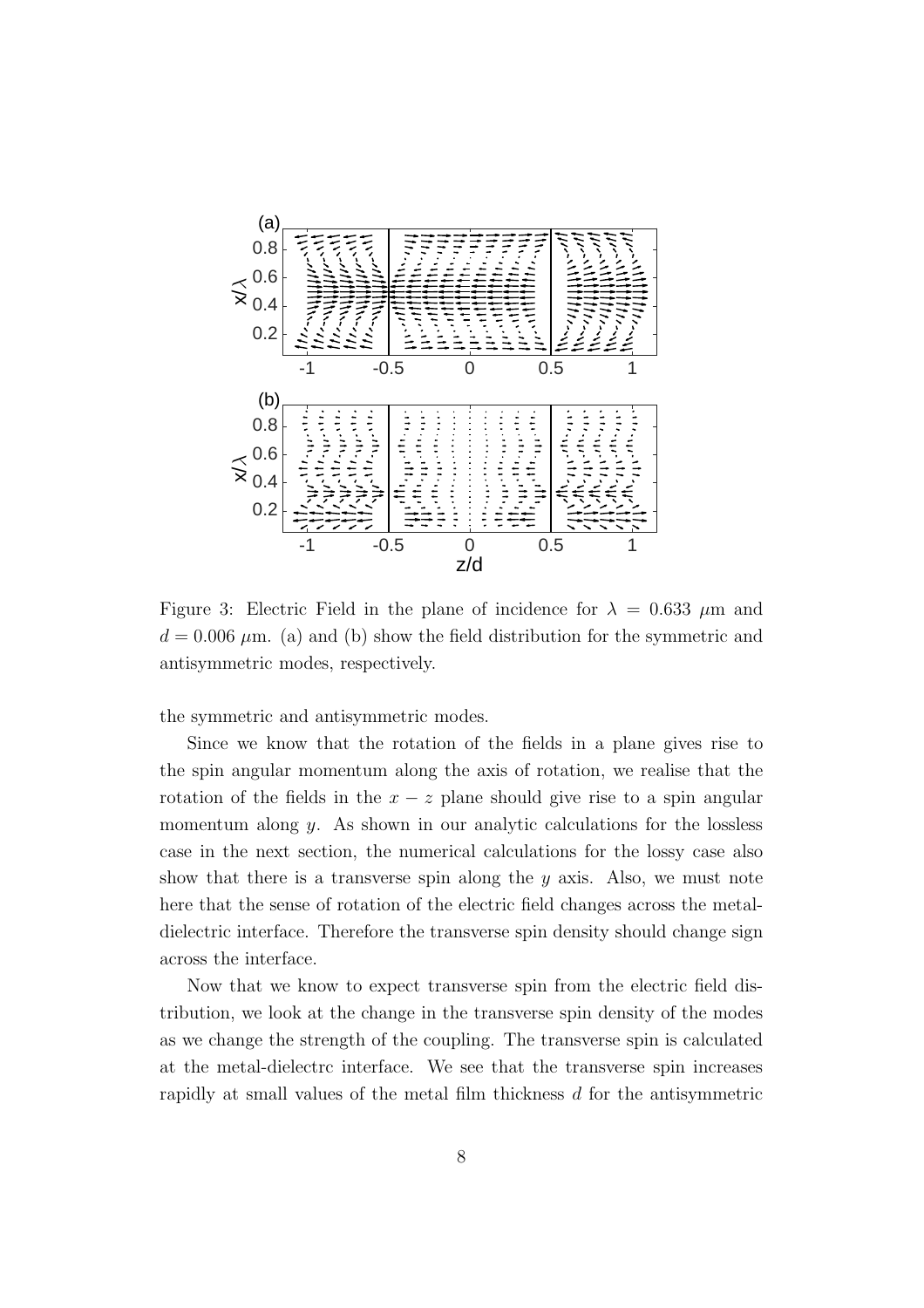

<span id="page-7-0"></span>Figure 3: Electric Field in the plane of incidence for  $\lambda = 0.633 \mu m$  and  $d = 0.006 \mu$ m. (a) and (b) show the field distribution for the symmetric and antisymmetric modes, respectively.

the symmetric and antisymmetric modes.

Since we know that the rotation of the fields in a plane gives rise to the spin angular momentum along the axis of rotation, we realise that the rotation of the fields in the  $x - z$  plane should give rise to a spin angular momentum along  $y$ . As shown in our analytic calculations for the lossless case in the next section, the numerical calculations for the lossy case also show that there is a transverse spin along the  $y$  axis. Also, we must note here that the sense of rotation of the electric field changes across the metaldielectric interface. Therefore the transverse spin density should change sign across the interface.

Now that we know to expect transverse spin from the electric field distribution, we look at the change in the transverse spin density of the modes as we change the strength of the coupling. The transverse spin is calculated at the metal-dielectrc interface. We see that the transverse spin increases rapidly at small values of the metal film thickness  $d$  for the antisymmetric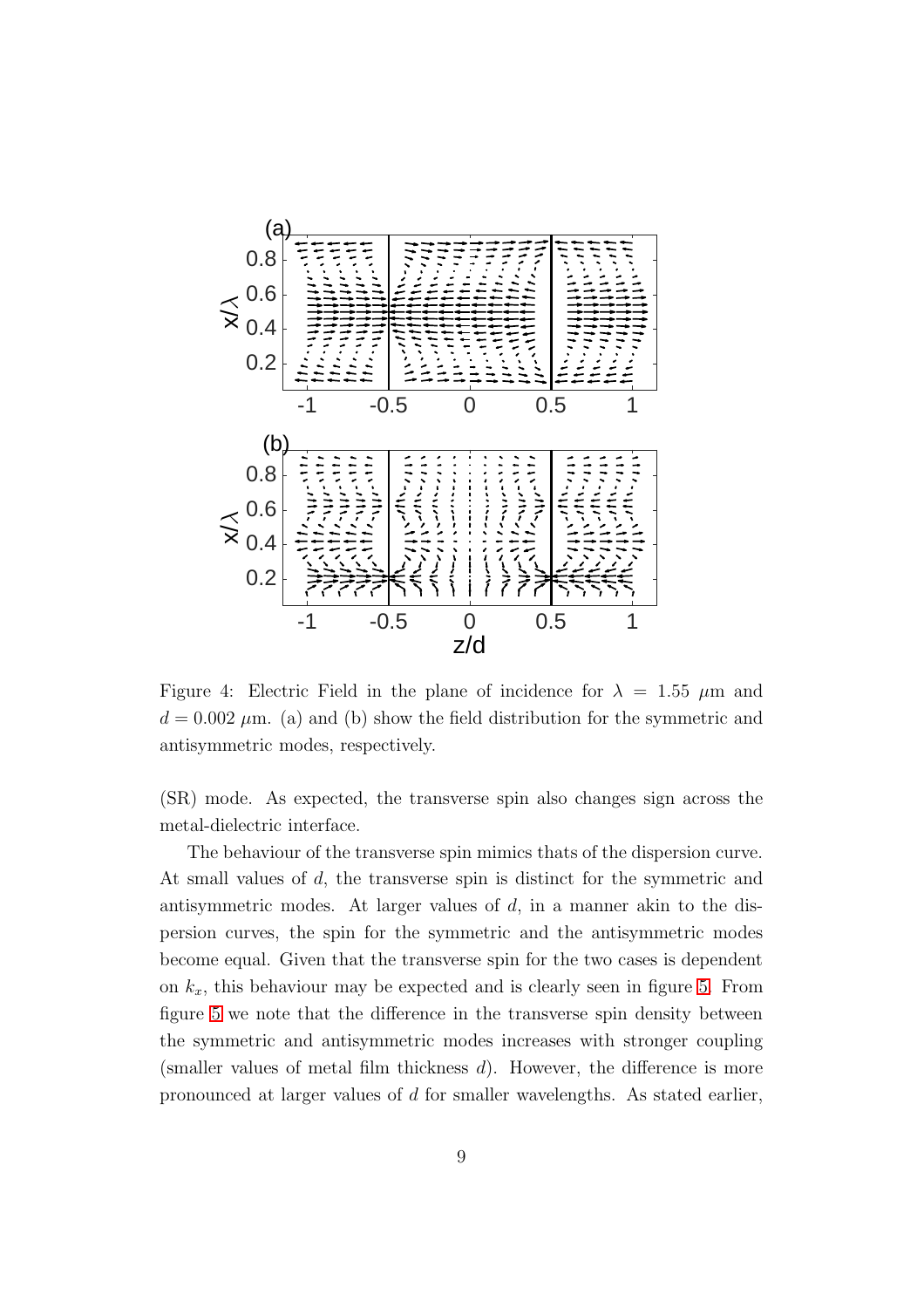

<span id="page-8-0"></span>Figure 4: Electric Field in the plane of incidence for  $\lambda = 1.55 \mu m$  and  $d = 0.002 \mu$ m. (a) and (b) show the field distribution for the symmetric and antisymmetric modes, respectively.

(SR) mode. As expected, the transverse spin also changes sign across the metal-dielectric interface.

The behaviour of the transverse spin mimics thats of the dispersion curve. At small values of d, the transverse spin is distinct for the symmetric and antisymmetric modes. At larger values of d, in a manner akin to the dispersion curves, the spin for the symmetric and the antisymmetric modes become equal. Given that the transverse spin for the two cases is dependent on  $k_x$ , this behaviour may be expected and is clearly seen in figure [5.](#page-9-0) From figure [5](#page-9-0) we note that the difference in the transverse spin density between the symmetric and antisymmetric modes increases with stronger coupling (smaller values of metal film thickness  $d$ ). However, the difference is more pronounced at larger values of d for smaller wavelengths. As stated earlier,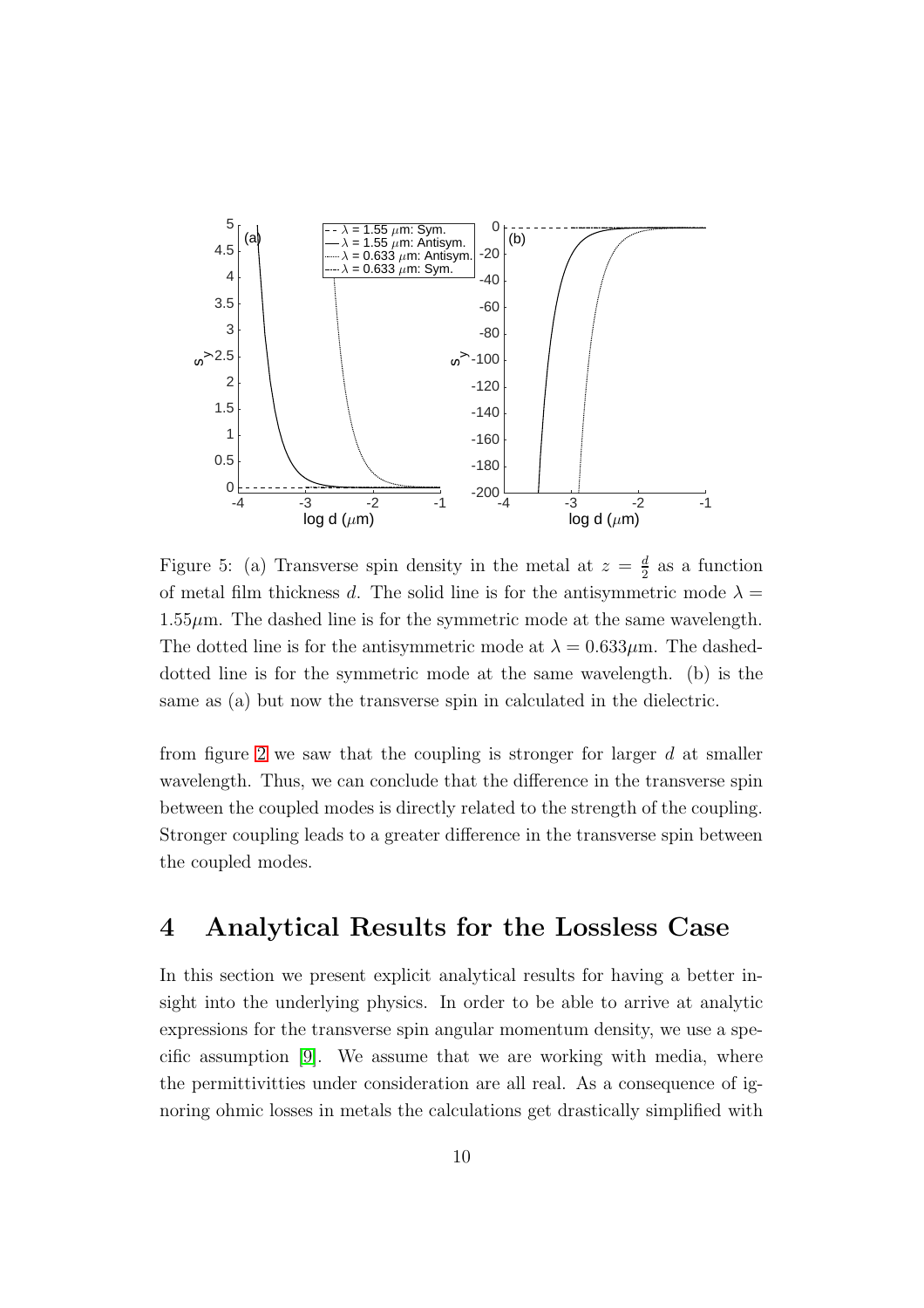

<span id="page-9-0"></span>Figure 5: (a) Transverse spin density in the metal at  $z = \frac{d}{2}$  as a function of metal film thickness d. The solid line is for the antisymmetric mode  $\lambda =$  $1.55\mu$ m. The dashed line is for the symmetric mode at the same wavelength. The dotted line is for the antisymmetric mode at  $\lambda = 0.633 \mu$ m. The dasheddotted line is for the symmetric mode at the same wavelength. (b) is the same as (a) but now the transverse spin in calculated in the dielectric.

from figure [2](#page-6-0) we saw that the coupling is stronger for larger  $d$  at smaller wavelength. Thus, we can conclude that the difference in the transverse spin between the coupled modes is directly related to the strength of the coupling. Stronger coupling leads to a greater difference in the transverse spin between the coupled modes.

### 4 Analytical Results for the Lossless Case

In this section we present explicit analytical results for having a better insight into the underlying physics. In order to be able to arrive at analytic expressions for the transverse spin angular momentum density, we use a specific assumption [\[9\]](#page-13-6). We assume that we are working with media, where the permittivitties under consideration are all real. As a consequence of ignoring ohmic losses in metals the calculations get drastically simplified with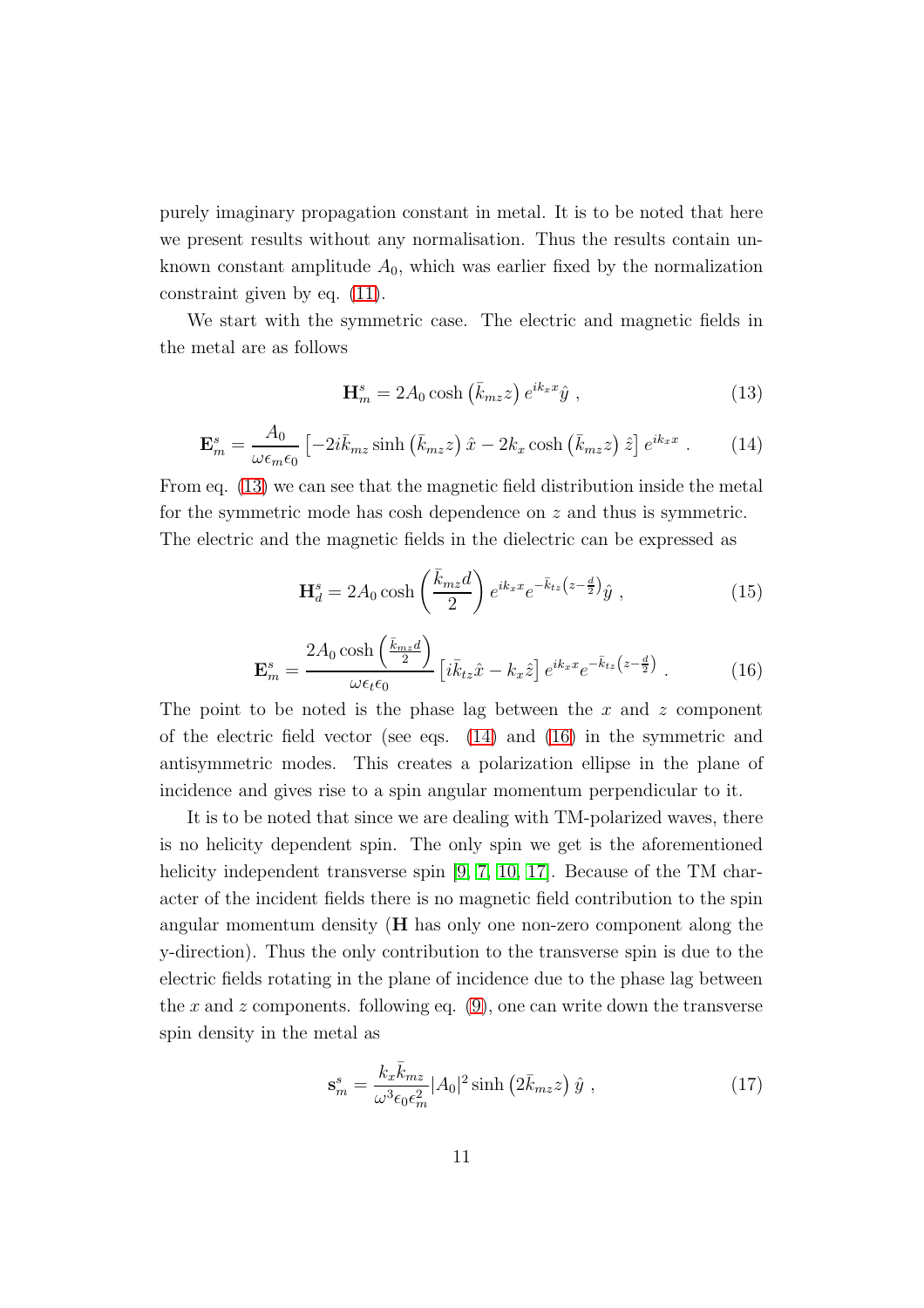purely imaginary propagation constant in metal. It is to be noted that here we present results without any normalisation. Thus the results contain unknown constant amplitude  $A_0$ , which was earlier fixed by the normalization constraint given by eq. [\(11\)](#page-5-0).

We start with the symmetric case. The electric and magnetic fields in the metal are as follows

<span id="page-10-0"></span>
$$
\mathbf{H}_{m}^{s} = 2A_0 \cosh\left(\bar{k}_{mz}z\right) e^{ik_x x} \hat{y} \tag{13}
$$

<span id="page-10-1"></span>
$$
\mathbf{E}_m^s = \frac{A_0}{\omega \epsilon_m \epsilon_0} \left[ -2i \bar{k}_{mz} \sinh \left( \bar{k}_{mz} z \right) \hat{x} - 2k_x \cosh \left( \bar{k}_{mz} z \right) \hat{z} \right] e^{ik_x x} \,. \tag{14}
$$

From eq. [\(13\)](#page-10-0) we can see that the magnetic field distribution inside the metal for the symmetric mode has cosh dependence on z and thus is symmetric. The electric and the magnetic fields in the dielectric can be expressed as

$$
\mathbf{H}_d^s = 2A_0 \cosh\left(\frac{\bar{k}_{mz}d}{2}\right) e^{ik_x x} e^{-\bar{k}_{tz}\left(z - \frac{d}{2}\right)} \hat{y} \,,\tag{15}
$$

<span id="page-10-2"></span>
$$
\mathbf{E}_m^s = \frac{2A_0 \cosh\left(\frac{\bar{k}_{mz}d}{2}\right)}{\omega \epsilon_t \epsilon_0} \left[i\bar{k}_{tz}\hat{x} - k_x\hat{z}\right] e^{ik_x x} e^{-\bar{k}_{tz}\left(z - \frac{d}{2}\right)} \,. \tag{16}
$$

The point to be noted is the phase lag between the x and z component of the electric field vector (see eqs. [\(14\)](#page-10-1) and [\(16\)](#page-10-2) in the symmetric and antisymmetric modes. This creates a polarization ellipse in the plane of incidence and gives rise to a spin angular momentum perpendicular to it.

It is to be noted that since we are dealing with TM-polarized waves, there is no helicity dependent spin. The only spin we get is the aforementioned helicity independent transverse spin [\[9,](#page-13-6) [7,](#page-13-4) [10,](#page-13-7) [17\]](#page-13-14). Because of the TM character of the incident fields there is no magnetic field contribution to the spin angular momentum density (H has only one non-zero component along the y-direction). Thus the only contribution to the transverse spin is due to the electric fields rotating in the plane of incidence due to the phase lag between the x and z components. following eq.  $(9)$ , one can write down the transverse spin density in the metal as

<span id="page-10-3"></span>
$$
\mathbf{s}_m^s = \frac{k_x \bar{k}_{mz}}{\omega^3 \epsilon_0 \epsilon_m^2} |A_0|^2 \sinh\left(2\bar{k}_{mz}z\right) \hat{y} \,,\tag{17}
$$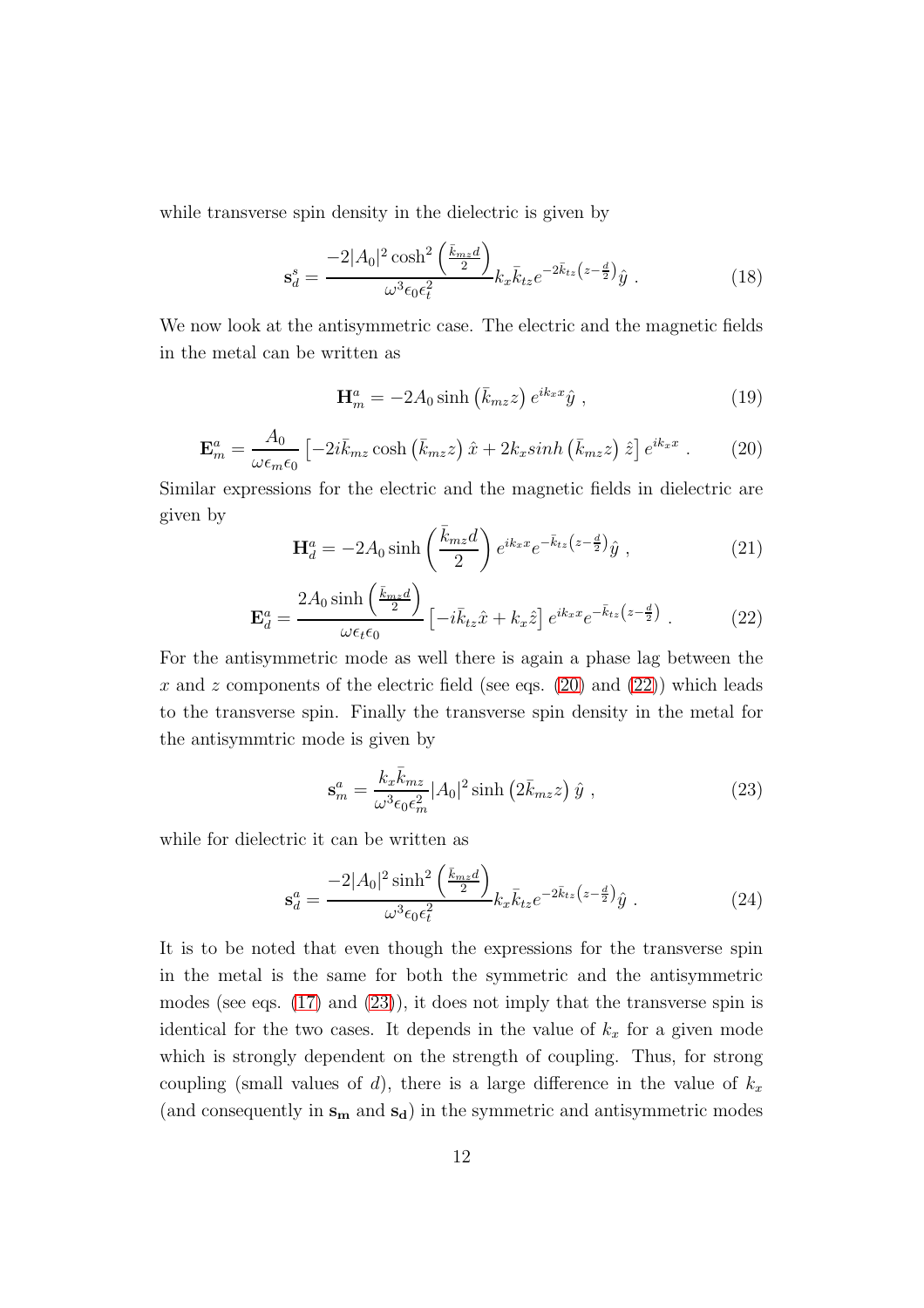while transverse spin density in the dielectric is given by

$$
\mathbf{s}_d^s = \frac{-2|A_0|^2 \cosh^2\left(\frac{\bar{k}_{mz}d}{2}\right)}{\omega^3 \epsilon_0 \epsilon_t^2} k_x \bar{k}_{tz} e^{-2\bar{k}_{tz} \left(z - \frac{d}{2}\right)} \hat{y} \tag{18}
$$

We now look at the antisymmetric case. The electric and the magnetic fields in the metal can be written as

$$
\mathbf{H}_{m}^{a} = -2A_{0}\sinh\left(\bar{k}_{mz}z\right)e^{ik_{x}x}\hat{y},\qquad(19)
$$

<span id="page-11-0"></span>
$$
\mathbf{E}_{m}^{a} = \frac{A_{0}}{\omega \epsilon_{m} \epsilon_{0}} \left[ -2i\bar{k}_{mz} \cosh\left(\bar{k}_{mz}z\right)\hat{x} + 2k_{x} \sinh\left(\bar{k}_{mz}z\right)\hat{z} \right] e^{ik_{x}x} . \tag{20}
$$

Similar expressions for the electric and the magnetic fields in dielectric are given by

$$
\mathbf{H}_d^a = -2A_0 \sinh\left(\frac{\bar{k}_{mz}d}{2}\right) e^{ik_x x} e^{-\bar{k}_{tz}\left(z - \frac{d}{2}\right)} \hat{y} \tag{21}
$$

<span id="page-11-1"></span>
$$
\mathbf{E}_d^a = \frac{2A_0 \sinh\left(\frac{\bar{k}_{mz}d}{2}\right)}{\omega\epsilon_t\epsilon_0} \left[-i\bar{k}_{tz}\hat{x} + k_x\hat{z}\right] e^{ik_x x} e^{-\bar{k}_{tz}\left(z - \frac{d}{2}\right)}\,. \tag{22}
$$

For the antisymmetric mode as well there is again a phase lag between the x and z components of the electric field (see eqs.  $(20)$  and  $(22)$ ) which leads to the transverse spin. Finally the transverse spin density in the metal for the antisymmtric mode is given by

<span id="page-11-2"></span>
$$
\mathbf{s}_m^a = \frac{k_x \bar{k}_{mz}}{\omega^3 \epsilon_0 \epsilon_m^2} |A_0|^2 \sinh\left(2\bar{k}_{mz}z\right) \hat{y} , \qquad (23)
$$

while for dielectric it can be written as

$$
\mathbf{s}_d^a = \frac{-2|A_0|^2 \sinh^2\left(\frac{\bar{k}_{mz}d}{2}\right)}{\omega^3 \epsilon_0 \epsilon_t^2} k_x \bar{k}_{tz} e^{-2\bar{k}_{tz} \left(z - \frac{d}{2}\right)} \hat{y} \ . \tag{24}
$$

It is to be noted that even though the expressions for the transverse spin in the metal is the same for both the symmetric and the antisymmetric modes (see eqs. [\(17\)](#page-10-3) and [\(23\)](#page-11-2)), it does not imply that the transverse spin is identical for the two cases. It depends in the value of  $k_x$  for a given mode which is strongly dependent on the strength of coupling. Thus, for strong coupling (small values of d), there is a large difference in the value of  $k_x$ (and consequently in  $s_m$  and  $s_d$ ) in the symmetric and antisymmetric modes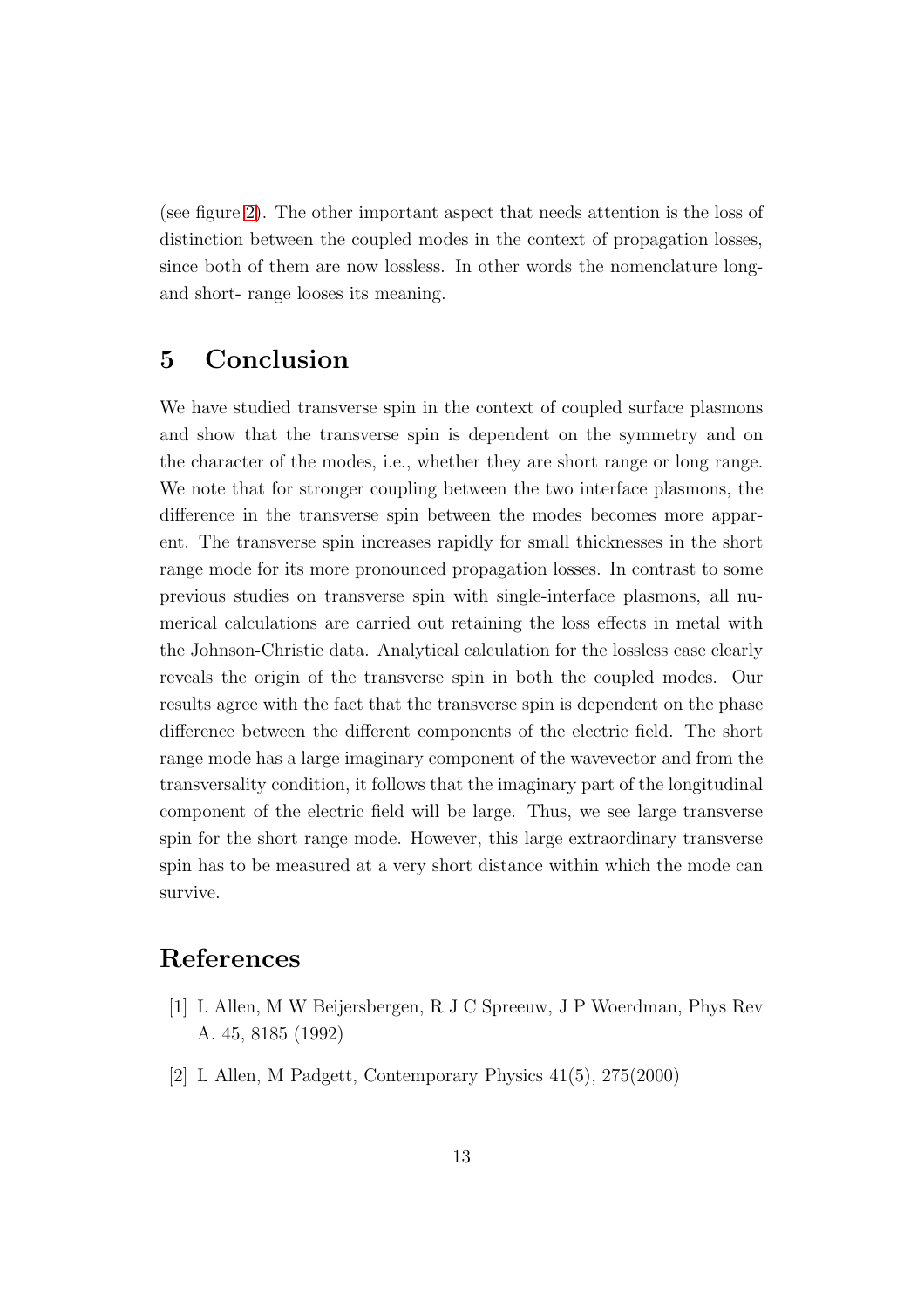(see figure [2\)](#page-6-0). The other important aspect that needs attention is the loss of distinction between the coupled modes in the context of propagation losses, since both of them are now lossless. In other words the nomenclature longand short- range looses its meaning.

#### 5 Conclusion

We have studied transverse spin in the context of coupled surface plasmons and show that the transverse spin is dependent on the symmetry and on the character of the modes, i.e., whether they are short range or long range. We note that for stronger coupling between the two interface plasmons, the difference in the transverse spin between the modes becomes more apparent. The transverse spin increases rapidly for small thicknesses in the short range mode for its more pronounced propagation losses. In contrast to some previous studies on transverse spin with single-interface plasmons, all numerical calculations are carried out retaining the loss effects in metal with the Johnson-Christie data. Analytical calculation for the lossless case clearly reveals the origin of the transverse spin in both the coupled modes. Our results agree with the fact that the transverse spin is dependent on the phase difference between the different components of the electric field. The short range mode has a large imaginary component of the wavevector and from the transversality condition, it follows that the imaginary part of the longitudinal component of the electric field will be large. Thus, we see large transverse spin for the short range mode. However, this large extraordinary transverse spin has to be measured at a very short distance within which the mode can survive.

## <span id="page-12-0"></span>References

- <span id="page-12-1"></span>[1] L Allen, M W Beijersbergen, R J C Spreeuw, J P Woerdman, Phys Rev A. 45, 8185 (1992)
- [2] L Allen, M Padgett, Contemporary Physics 41(5), 275(2000)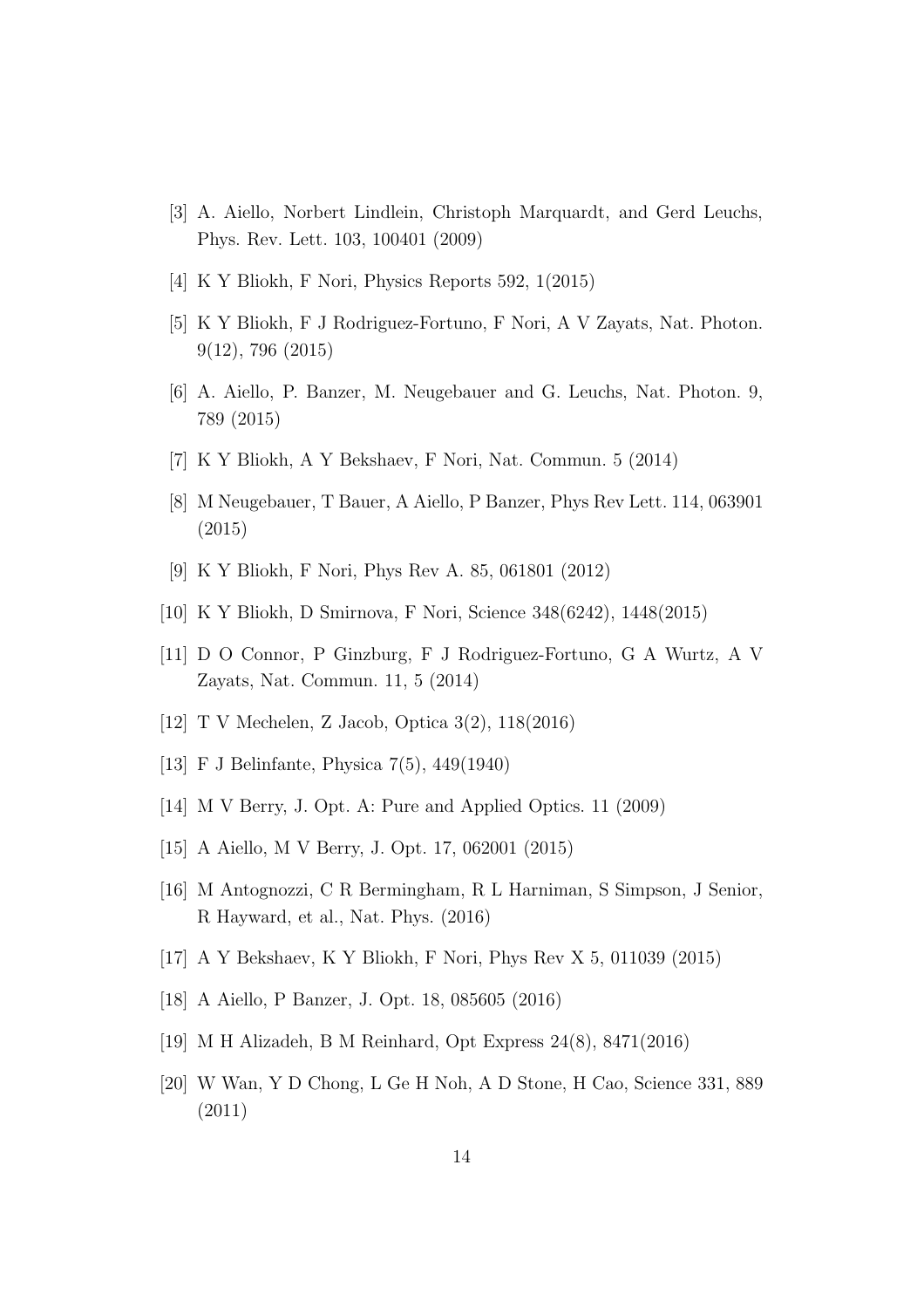- <span id="page-13-1"></span><span id="page-13-0"></span>[3] A. Aiello, Norbert Lindlein, Christoph Marquardt, and Gerd Leuchs, Phys. Rev. Lett. 103, 100401 (2009)
- <span id="page-13-2"></span>[4] K Y Bliokh, F Nori, Physics Reports 592, 1(2015)
- <span id="page-13-3"></span>[5] K Y Bliokh, F J Rodriguez-Fortuno, F Nori, A V Zayats, Nat. Photon. 9(12), 796 (2015)
- <span id="page-13-4"></span>[6] A. Aiello, P. Banzer, M. Neugebauer and G. Leuchs, Nat. Photon. 9, 789 (2015)
- <span id="page-13-5"></span>[7] K Y Bliokh, A Y Bekshaev, F Nori, Nat. Commun. 5 (2014)
- <span id="page-13-6"></span>[8] M Neugebauer, T Bauer, A Aiello, P Banzer, Phys Rev Lett. 114, 063901 (2015)
- <span id="page-13-7"></span>[9] K Y Bliokh, F Nori, Phys Rev A. 85, 061801 (2012)
- <span id="page-13-8"></span>[10] K Y Bliokh, D Smirnova, F Nori, Science 348(6242), 1448(2015)
- <span id="page-13-9"></span>[11] D O Connor, P Ginzburg, F J Rodriguez-Fortuno, G A Wurtz, A V Zayats, Nat. Commun. 11, 5 (2014)
- <span id="page-13-10"></span>[12] T V Mechelen, Z Jacob, Optica 3(2), 118(2016)
- <span id="page-13-11"></span>[13] F J Belinfante, Physica 7(5), 449(1940)
- <span id="page-13-12"></span>[14] M V Berry, J. Opt. A: Pure and Applied Optics. 11 (2009)
- <span id="page-13-13"></span>[15] A Aiello, M V Berry, J. Opt. 17, 062001 (2015)
- <span id="page-13-14"></span>[16] M Antognozzi, C R Bermingham, R L Harniman, S Simpson, J Senior, R Hayward, et al., Nat. Phys. (2016)
- <span id="page-13-15"></span>[17] A Y Bekshaev, K Y Bliokh, F Nori, Phys Rev X 5, 011039 (2015)
- <span id="page-13-16"></span>[18] A Aiello, P Banzer, J. Opt. 18, 085605 (2016)
- <span id="page-13-17"></span>[19] M H Alizadeh, B M Reinhard, Opt Express 24(8), 8471(2016)
- [20] W Wan, Y D Chong, L Ge H Noh, A D Stone, H Cao, Science 331, 889 (2011)